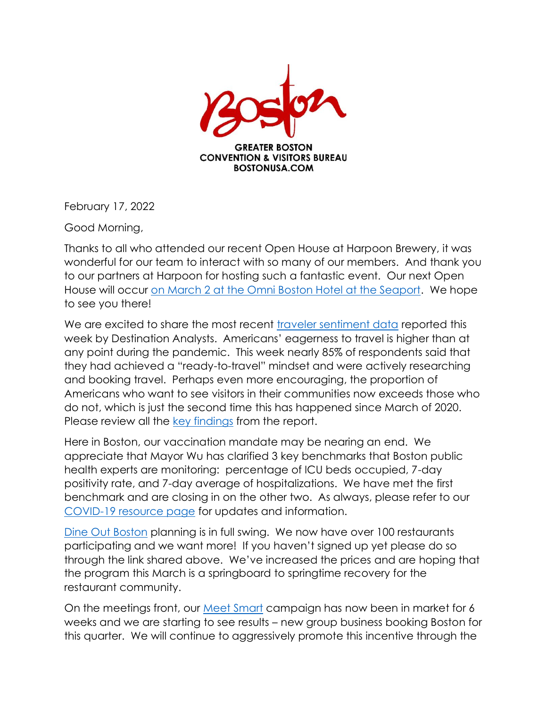

February 17, 2022

Good Morning,

Thanks to all who attended our recent Open House at Harpoon Brewery, it was wonderful for our team to interact with so many of our members. And thank you to our partners at Harpoon for hosting such a fantastic event. Our next Open House will occur [on March 2 at the Omni Boston Hotel at the Seaport.](https://www.eventbrite.com/e/gbcvb-march-2nd-open-house-omni-boston-hotel-at-the-seaport-tickets-265317119647) We hope to see you there!

We are excited to share the most recent [traveler sentiment data](https://www.destinationanalysts.com/blog-update-on-american-travel-trends-sentiment-week-of-february-14th/?utm_source=Email&utm_medium=Email&utm_campaign=Email%20Marketing) reported this week by Destination Analysts. Americans' eagerness to travel is higher than at any point during the pandemic. This week nearly 85% of respondents said that they had achieved a "ready-to-travel" mindset and were actively researching and booking travel. Perhaps even more encouraging, the proportion of Americans who want to see visitors in their communities now exceeds those who do not, which is just the second time this has happened since March of 2020. Please review all the [key findings](https://www.destinationanalysts.com/blog-update-on-american-travel-trends-sentiment-week-of-february-14th/?utm_source=Email&utm_medium=Email&utm_campaign=Email%20Marketing) from the report.

Here in Boston, our vaccination mandate may be nearing an end. We appreciate that Mayor Wu has clarified 3 key benchmarks that Boston public health experts are monitoring: percentage of ICU beds occupied, 7-day positivity rate, and 7-day average of hospitalizations. We have met the first benchmark and are closing in on the other two. As always, please refer to our [COVID-19 resource page](https://www.bostonusa.com/covid-19/) for updates and information.

[Dine Out Boston](https://www.bostonusa.com/dine-out-boston/) planning is in full swing. We now have over 100 restaurants participating and we want more! If you haven't signed up yet please do so through the link shared above. We've increased the prices and are hoping that the program this March is a springboard to springtime recovery for the restaurant community.

On the meetings front, our [Meet Smart](https://www.bostonusa.com/meetsmart/) campaign has now been in market for 6 weeks and we are starting to see results – new group business booking Boston for this quarter. We will continue to aggressively promote this incentive through the